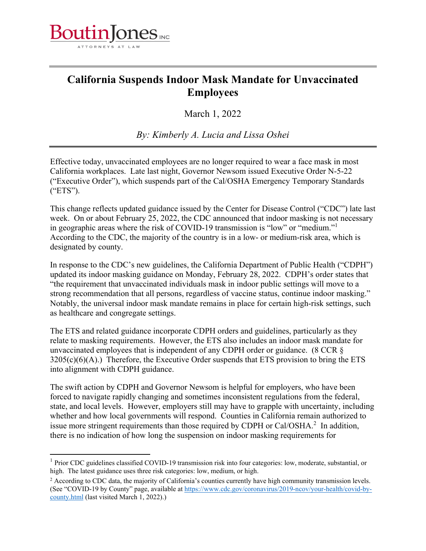

## **California Suspends Indoor Mask Mandate for Unvaccinated Employees**

March 1, 2022

*By: Kimberly A. Lucia and Lissa Oshei* 

Effective today, unvaccinated employees are no longer required to wear a face mask in most California workplaces. Late last night, Governor Newsom issued Executive Order N-5-22 ("Executive Order"), which suspends part of the Cal/OSHA Emergency Temporary Standards ("ETS").

This change reflects updated guidance issued by the Center for Disease Control ("CDC") late last week. On or about February 25, 2022, the CDC announced that indoor masking is not necessary in geographic areas where the risk of COVID-19 transmission is "low" or "medium."<sup>1</sup> According to the CDC, the majority of the country is in a low- or medium-risk area, which is designated by county.

In response to the CDC's new guidelines, the California Department of Public Health ("CDPH") updated its indoor masking guidance on Monday, February 28, 2022. CDPH's order states that "the requirement that unvaccinated individuals mask in indoor public settings will move to a strong recommendation that all persons, regardless of vaccine status, continue indoor masking." Notably, the universal indoor mask mandate remains in place for certain high-risk settings, such as healthcare and congregate settings.

The ETS and related guidance incorporate CDPH orders and guidelines, particularly as they relate to masking requirements. However, the ETS also includes an indoor mask mandate for unvaccinated employees that is independent of any CDPH order or guidance. (8 CCR §  $3205(c)(6)(A)$ .) Therefore, the Executive Order suspends that ETS provision to bring the ETS into alignment with CDPH guidance.

The swift action by CDPH and Governor Newsom is helpful for employers, who have been forced to navigate rapidly changing and sometimes inconsistent regulations from the federal, state, and local levels. However, employers still may have to grapple with uncertainty, including whether and how local governments will respond. Counties in California remain authorized to issue more stringent requirements than those required by CDPH or Cal/OSHA. $^2$  In addition, there is no indication of how long the suspension on indoor masking requirements for

 $1$  Prior CDC guidelines classified COVID-19 transmission risk into four categories: low, moderate, substantial, or high. The latest guidance uses three risk categories: low, medium, or high.

<sup>&</sup>lt;sup>2</sup> According to CDC data, the majority of California's counties currently have high community transmission levels. (See "COVID-19 by County" page, available at https://www.cdc.gov/coronavirus/2019-ncov/your-health/covid-bycounty.html (last visited March 1, 2022).)